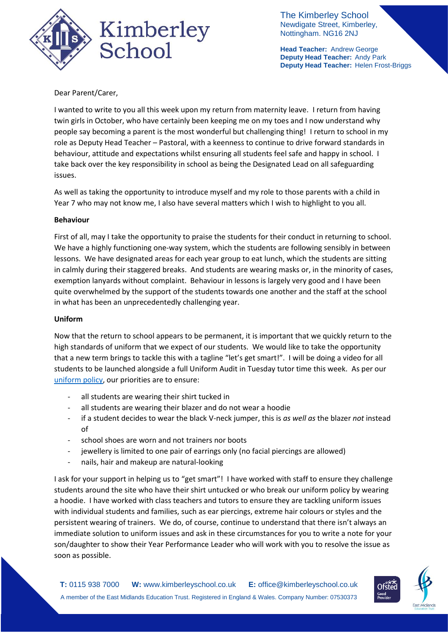

The Kimberley School Newdigate Street, Kimberley, Nottingham. NG16 2NJ

**Head Teacher:** Andrew George **Deputy Head Teacher:** Andy Park **Deputy Head Teacher:** Helen Frost-Briggs

# Dear Parent/Carer,

I wanted to write to you all this week upon my return from maternity leave. I return from having twin girls in October, who have certainly been keeping me on my toes and I now understand why people say becoming a parent is the most wonderful but challenging thing! I return to school in my role as Deputy Head Teacher – Pastoral, with a keenness to continue to drive forward standards in behaviour, attitude and expectations whilst ensuring all students feel safe and happy in school. I take back over the key responsibility in school as being the Designated Lead on all safeguarding issues.

As well as taking the opportunity to introduce myself and my role to those parents with a child in Year 7 who may not know me, I also have several matters which I wish to highlight to you all.

### **Behaviour**

First of all, may I take the opportunity to praise the students for their conduct in returning to school. We have a highly functioning one-way system, which the students are following sensibly in between lessons. We have designated areas for each year group to eat lunch, which the students are sitting in calmly during their staggered breaks. And students are wearing masks or, in the minority of cases, exemption lanyards without complaint. Behaviour in lessons is largely very good and I have been quite overwhelmed by the support of the students towards one another and the staff at the school in what has been an unprecedentedly challenging year.

### **Uniform**

Now that the return to school appears to be permanent, it is important that we quickly return to the high standards of uniform that we expect of our students. We would like to take the opportunity that a new term brings to tackle this with a tagline "let's get smart!". I will be doing a video for all students to be launched alongside a full Uniform Audit in Tuesday tutor time this week. As per our [uniform policy,](https://www.kimberleyschool.co.uk/uniform) our priorities are to ensure:

- all students are wearing their shirt tucked in
- all students are wearing their blazer and do not wear a hoodie
- if a student decides to wear the black V-neck jumper, this is *as well as* the blazer *not* instead  $\mathsf{f}$
- school shoes are worn and not trainers nor boots
- jewellery is limited to one pair of earrings only (no facial piercings are allowed)
- nails, hair and makeup are natural-looking

I ask for your support in helping us to "get smart"! I have worked with staff to ensure they challenge students around the site who have their shirt untucked or who break our uniform policy by wearing a hoodie. I have worked with class teachers and tutors to ensure they are tackling uniform issues with individual students and families, such as ear piercings, extreme hair colours or styles and the persistent wearing of trainers. We do, of course, continue to understand that there isn't always an immediate solution to uniform issues and ask in these circumstances for you to write a note for your son/daughter to show their Year Performance Leader who will work with you to resolve the issue as soon as possible.